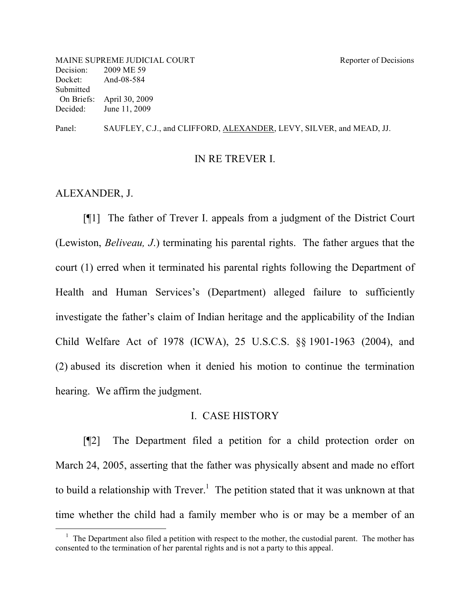Panel: SAUFLEY, C.J., and CLIFFORD, ALEXANDER, LEVY, SILVER, and MEAD, JJ.

#### IN RE TREVER I.

#### ALEXANDER, J.

[¶1] The father of Trever I. appeals from a judgment of the District Court (Lewiston, *Beliveau, J*.) terminating his parental rights. The father argues that the court (1) erred when it terminated his parental rights following the Department of Health and Human Services's (Department) alleged failure to sufficiently investigate the father's claim of Indian heritage and the applicability of the Indian Child Welfare Act of 1978 (ICWA), 25 U.S.C.S. §§ 1901-1963 (2004), and (2) abused its discretion when it denied his motion to continue the termination hearing. We affirm the judgment.

### I. CASE HISTORY

[¶2] The Department filed a petition for a child protection order on March 24, 2005, asserting that the father was physically absent and made no effort to build a relationship with  $Trever.$ <sup>1</sup> The petition stated that it was unknown at that time whether the child had a family member who is or may be a member of an

<sup>&</sup>lt;sup>1</sup> The Department also filed a petition with respect to the mother, the custodial parent. The mother has consented to the termination of her parental rights and is not a party to this appeal.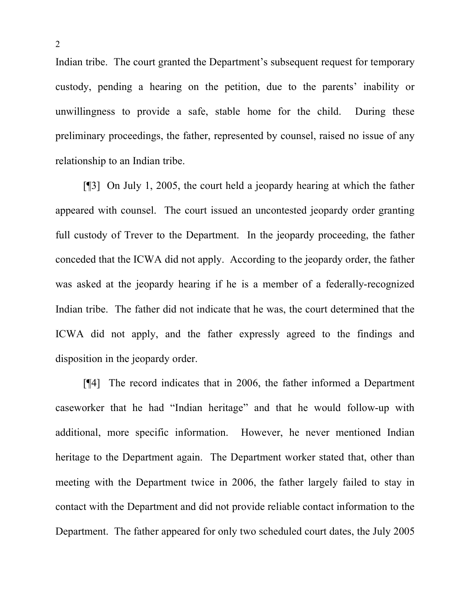Indian tribe. The court granted the Department's subsequent request for temporary custody, pending a hearing on the petition, due to the parents' inability or unwillingness to provide a safe, stable home for the child. During these preliminary proceedings, the father, represented by counsel, raised no issue of any relationship to an Indian tribe.

[¶3] On July 1, 2005, the court held a jeopardy hearing at which the father appeared with counsel. The court issued an uncontested jeopardy order granting full custody of Trever to the Department. In the jeopardy proceeding, the father conceded that the ICWA did not apply. According to the jeopardy order, the father was asked at the jeopardy hearing if he is a member of a federally-recognized Indian tribe. The father did not indicate that he was, the court determined that the ICWA did not apply, and the father expressly agreed to the findings and disposition in the jeopardy order.

[¶4] The record indicates that in 2006, the father informed a Department caseworker that he had "Indian heritage" and that he would follow-up with additional, more specific information. However, he never mentioned Indian heritage to the Department again. The Department worker stated that, other than meeting with the Department twice in 2006, the father largely failed to stay in contact with the Department and did not provide reliable contact information to the Department. The father appeared for only two scheduled court dates, the July 2005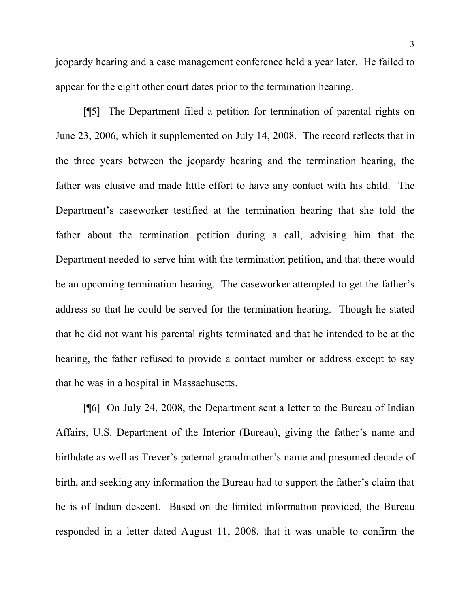jeopardy hearing and a case management conference held a year later. He failed to appear for the eight other court dates prior to the termination hearing.

[¶5] The Department filed a petition for termination of parental rights on June 23, 2006, which it supplemented on July 14, 2008. The record reflects that in the three years between the jeopardy hearing and the termination hearing, the father was elusive and made little effort to have any contact with his child. The Department's caseworker testified at the termination hearing that she told the father about the termination petition during a call, advising him that the Department needed to serve him with the termination petition, and that there would be an upcoming termination hearing. The caseworker attempted to get the father's address so that he could be served for the termination hearing. Though he stated that he did not want his parental rights terminated and that he intended to be at the hearing, the father refused to provide a contact number or address except to say that he was in a hospital in Massachusetts.

[¶6] On July 24, 2008, the Department sent a letter to the Bureau of Indian Affairs, U.S. Department of the Interior (Bureau), giving the father's name and birthdate as well as Trever's paternal grandmother's name and presumed decade of birth, and seeking any information the Bureau had to support the father's claim that he is of Indian descent. Based on the limited information provided, the Bureau responded in a letter dated August 11, 2008, that it was unable to confirm the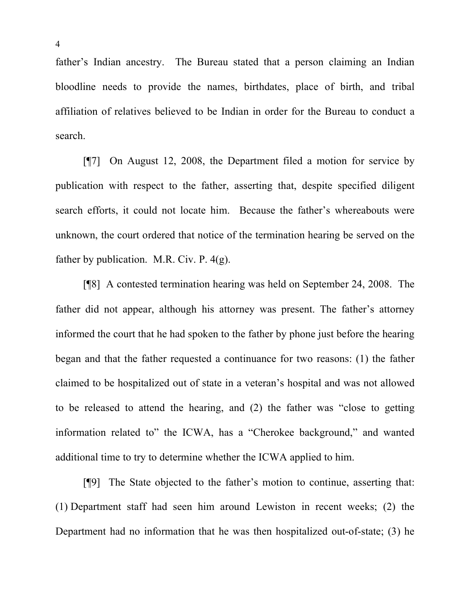father's Indian ancestry. The Bureau stated that a person claiming an Indian bloodline needs to provide the names, birthdates, place of birth, and tribal affiliation of relatives believed to be Indian in order for the Bureau to conduct a search.

[¶7] On August 12, 2008, the Department filed a motion for service by publication with respect to the father, asserting that, despite specified diligent search efforts, it could not locate him. Because the father's whereabouts were unknown, the court ordered that notice of the termination hearing be served on the father by publication. M.R. Civ. P. 4(g).

[¶8] A contested termination hearing was held on September 24, 2008. The father did not appear, although his attorney was present. The father's attorney informed the court that he had spoken to the father by phone just before the hearing began and that the father requested a continuance for two reasons: (1) the father claimed to be hospitalized out of state in a veteran's hospital and was not allowed to be released to attend the hearing, and (2) the father was "close to getting information related to" the ICWA, has a "Cherokee background," and wanted additional time to try to determine whether the ICWA applied to him.

[¶9] The State objected to the father's motion to continue, asserting that: (1) Department staff had seen him around Lewiston in recent weeks; (2) the Department had no information that he was then hospitalized out-of-state; (3) he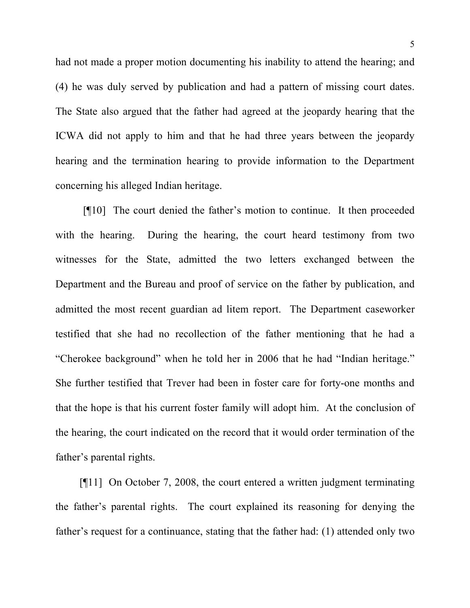had not made a proper motion documenting his inability to attend the hearing; and (4) he was duly served by publication and had a pattern of missing court dates. The State also argued that the father had agreed at the jeopardy hearing that the ICWA did not apply to him and that he had three years between the jeopardy hearing and the termination hearing to provide information to the Department concerning his alleged Indian heritage.

[¶10] The court denied the father's motion to continue. It then proceeded with the hearing. During the hearing, the court heard testimony from two witnesses for the State, admitted the two letters exchanged between the Department and the Bureau and proof of service on the father by publication, and admitted the most recent guardian ad litem report. The Department caseworker testified that she had no recollection of the father mentioning that he had a "Cherokee background" when he told her in 2006 that he had "Indian heritage." She further testified that Trever had been in foster care for forty-one months and that the hope is that his current foster family will adopt him. At the conclusion of the hearing, the court indicated on the record that it would order termination of the father's parental rights.

[¶11] On October 7, 2008, the court entered a written judgment terminating the father's parental rights. The court explained its reasoning for denying the father's request for a continuance, stating that the father had: (1) attended only two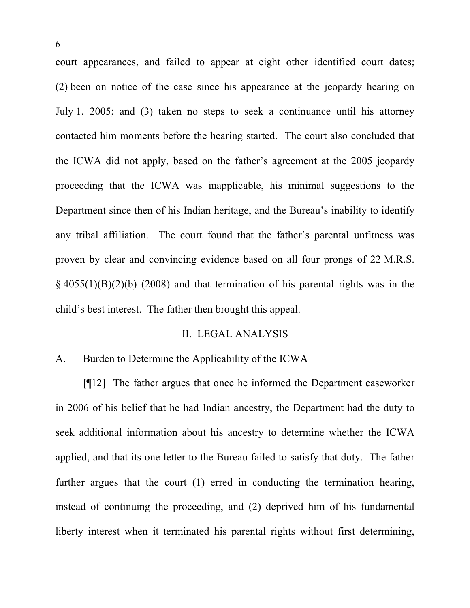court appearances, and failed to appear at eight other identified court dates; (2) been on notice of the case since his appearance at the jeopardy hearing on July 1, 2005; and (3) taken no steps to seek a continuance until his attorney contacted him moments before the hearing started. The court also concluded that the ICWA did not apply, based on the father's agreement at the 2005 jeopardy proceeding that the ICWA was inapplicable, his minimal suggestions to the Department since then of his Indian heritage, and the Bureau's inability to identify any tribal affiliation. The court found that the father's parental unfitness was proven by clear and convincing evidence based on all four prongs of 22 M.R.S.  $\frac{1}{2}$  4055(1)(B)(2)(b) (2008) and that termination of his parental rights was in the child's best interest. The father then brought this appeal.

### II. LEGAL ANALYSIS

### A. Burden to Determine the Applicability of the ICWA

[¶12] The father argues that once he informed the Department caseworker in 2006 of his belief that he had Indian ancestry, the Department had the duty to seek additional information about his ancestry to determine whether the ICWA applied, and that its one letter to the Bureau failed to satisfy that duty. The father further argues that the court (1) erred in conducting the termination hearing, instead of continuing the proceeding, and (2) deprived him of his fundamental liberty interest when it terminated his parental rights without first determining,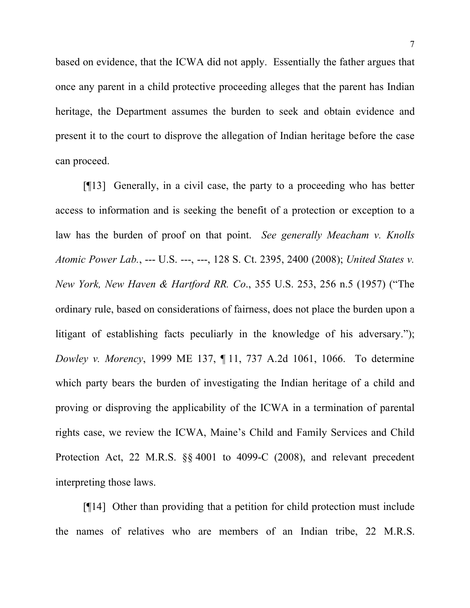based on evidence, that the ICWA did not apply. Essentially the father argues that once any parent in a child protective proceeding alleges that the parent has Indian heritage, the Department assumes the burden to seek and obtain evidence and present it to the court to disprove the allegation of Indian heritage before the case can proceed.

[¶13] Generally, in a civil case, the party to a proceeding who has better access to information and is seeking the benefit of a protection or exception to a law has the burden of proof on that point. *See generally Meacham v. Knolls Atomic Power Lab.*, --- U.S. ---, ---, 128 S. Ct. 2395, 2400 (2008); *United States v. New York, New Haven & Hartford RR. Co*., 355 U.S. 253, 256 n.5 (1957) ("The ordinary rule, based on considerations of fairness, does not place the burden upon a litigant of establishing facts peculiarly in the knowledge of his adversary."); *Dowley v. Morency*, 1999 ME 137, ¶ 11, 737 A.2d 1061, 1066. To determine which party bears the burden of investigating the Indian heritage of a child and proving or disproving the applicability of the ICWA in a termination of parental rights case, we review the ICWA, Maine's Child and Family Services and Child Protection Act, 22 M.R.S. §§ 4001 to 4099-C (2008), and relevant precedent interpreting those laws.

[¶14] Other than providing that a petition for child protection must include the names of relatives who are members of an Indian tribe, 22 M.R.S.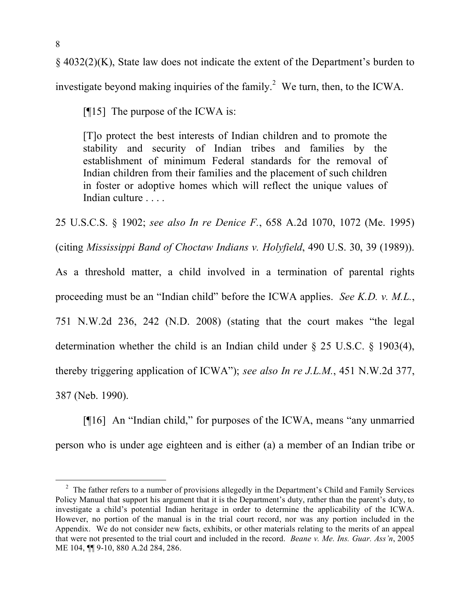§ 4032(2)(K), State law does not indicate the extent of the Department's burden to investigate beyond making inquiries of the family.<sup>2</sup> We turn, then, to the ICWA.

[¶15] The purpose of the ICWA is:

[T]o protect the best interests of Indian children and to promote the stability and security of Indian tribes and families by the establishment of minimum Federal standards for the removal of Indian children from their families and the placement of such children in foster or adoptive homes which will reflect the unique values of Indian culture . . . .

25 U.S.C.S. § 1902; *see also In re Denice F.*, 658 A.2d 1070, 1072 (Me. 1995)

(citing *Mississippi Band of Choctaw Indians v. Holyfield*, 490 U.S. 30, 39 (1989)).

As a threshold matter, a child involved in a termination of parental rights proceeding must be an "Indian child" before the ICWA applies. *See K.D. v. M.L.*, 751 N.W.2d 236, 242 (N.D. 2008) (stating that the court makes "the legal determination whether the child is an Indian child under § 25 U.S.C. § 1903(4), thereby triggering application of ICWA"); *see also In re J.L.M.*, 451 N.W.2d 377, 387 (Neb. 1990).

[¶16] An "Indian child," for purposes of the ICWA, means "any unmarried person who is under age eighteen and is either (a) a member of an Indian tribe or

<sup>&</sup>lt;sup>2</sup> The father refers to a number of provisions allegedly in the Department's Child and Family Services Policy Manual that support his argument that it is the Department's duty, rather than the parent's duty, to investigate a child's potential Indian heritage in order to determine the applicability of the ICWA. However, no portion of the manual is in the trial court record, nor was any portion included in the Appendix. We do not consider new facts, exhibits, or other materials relating to the merits of an appeal that were not presented to the trial court and included in the record. *Beane v. Me. Ins. Guar. Ass'n*, 2005 ME 104, ¶¶ 9-10, 880 A.2d 284, 286.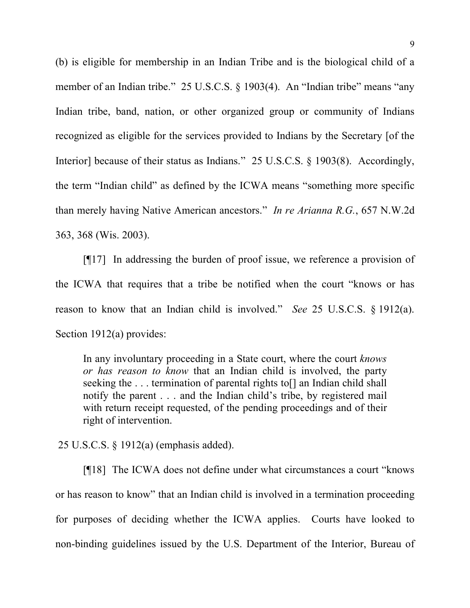(b) is eligible for membership in an Indian Tribe and is the biological child of a member of an Indian tribe." 25 U.S.C.S. § 1903(4). An "Indian tribe" means "any Indian tribe, band, nation, or other organized group or community of Indians recognized as eligible for the services provided to Indians by the Secretary [of the Interior] because of their status as Indians." 25 U.S.C.S. § 1903(8). Accordingly, the term "Indian child" as defined by the ICWA means "something more specific than merely having Native American ancestors." *In re Arianna R.G.*, 657 N.W.2d 363, 368 (Wis. 2003).

[¶17] In addressing the burden of proof issue, we reference a provision of the ICWA that requires that a tribe be notified when the court "knows or has reason to know that an Indian child is involved." *See* 25 U.S.C.S. § 1912(a). Section 1912(a) provides:

In any involuntary proceeding in a State court, where the court *knows or has reason to know* that an Indian child is involved, the party seeking the ... termination of parental rights to an Indian child shall notify the parent . . . and the Indian child's tribe, by registered mail with return receipt requested, of the pending proceedings and of their right of intervention.

25 U.S.C.S. § 1912(a) (emphasis added).

[¶18] The ICWA does not define under what circumstances a court "knows or has reason to know" that an Indian child is involved in a termination proceeding for purposes of deciding whether the ICWA applies. Courts have looked to non-binding guidelines issued by the U.S. Department of the Interior, Bureau of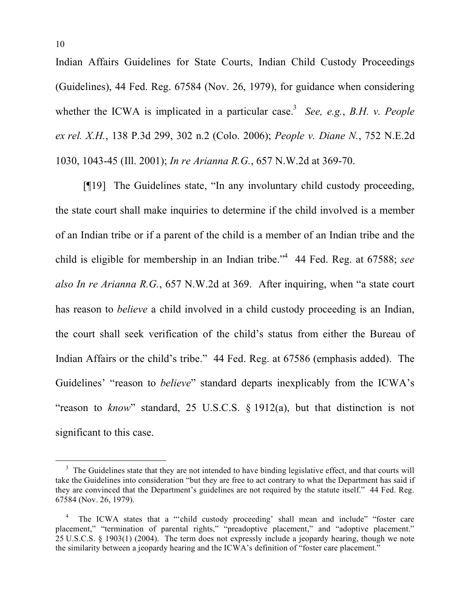Indian Affairs Guidelines for State Courts, Indian Child Custody Proceedings (Guidelines), 44 Fed. Reg. 67584 (Nov. 26, 1979), for guidance when considering whether the ICWA is implicated in a particular case.<sup>3</sup> See, e.g., B.H. v. People *ex rel. X.H.*, 138 P.3d 299, 302 n.2 (Colo. 2006); *People v. Diane N.*, 752 N.E.2d 1030, 1043-45 (Ill. 2001); *In re Arianna R.G.*, 657 N.W.2d at 369-70.

[¶19] The Guidelines state, "In any involuntary child custody proceeding, the state court shall make inquiries to determine if the child involved is a member of an Indian tribe or if a parent of the child is a member of an Indian tribe and the child is eligible for membership in an Indian tribe."4 44 Fed. Reg. at 67588; *see also In re Arianna R.G.*, 657 N.W.2d at 369. After inquiring, when "a state court has reason to *believe* a child involved in a child custody proceeding is an Indian, the court shall seek verification of the child's status from either the Bureau of Indian Affairs or the child's tribe." 44 Fed. Reg. at 67586 (emphasis added). The Guidelines' "reason to *believe*" standard departs inexplicably from the ICWA's "reason to *know*" standard, 25 U.S.C.S. § 1912(a), but that distinction is not significant to this case.

<sup>&</sup>lt;sup>3</sup> The Guidelines state that they are not intended to have binding legislative effect, and that courts will take the Guidelines into consideration "but they are free to act contrary to what the Department has said if they are convinced that the Department's guidelines are not required by the statute itself." 44 Fed. Reg. 67584 (Nov. 26, 1979).

<sup>4</sup> The ICWA states that a "'child custody proceeding' shall mean and include" "foster care placement," "termination of parental rights," "preadoptive placement," and "adoptive placement." 25 U.S.C.S. § 1903(1) (2004). The term does not expressly include a jeopardy hearing, though we note the similarity between a jeopardy hearing and the ICWA's definition of "foster care placement."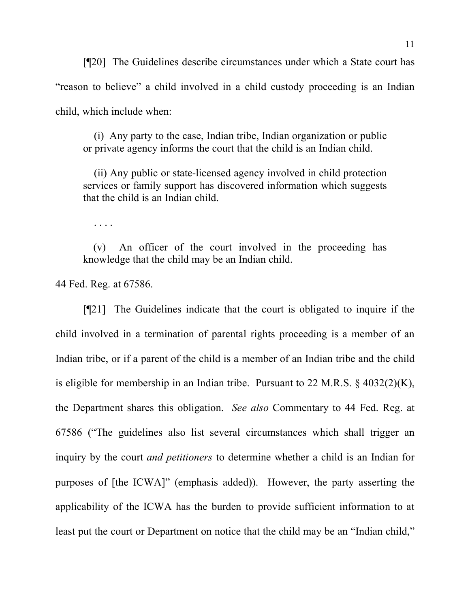[¶20] The Guidelines describe circumstances under which a State court has "reason to believe" a child involved in a child custody proceeding is an Indian child, which include when:

 (i) Any party to the case, Indian tribe, Indian organization or public or private agency informs the court that the child is an Indian child.

 (ii) Any public or state-licensed agency involved in child protection services or family support has discovered information which suggests that the child is an Indian child.

. . . .

(v) An officer of the court involved in the proceeding has knowledge that the child may be an Indian child.

44 Fed. Reg. at 67586.

[¶21] The Guidelines indicate that the court is obligated to inquire if the child involved in a termination of parental rights proceeding is a member of an Indian tribe, or if a parent of the child is a member of an Indian tribe and the child is eligible for membership in an Indian tribe. Pursuant to 22 M.R.S. § 4032(2)(K), the Department shares this obligation. *See also* Commentary to 44 Fed. Reg. at 67586 ("The guidelines also list several circumstances which shall trigger an inquiry by the court *and petitioners* to determine whether a child is an Indian for purposes of [the ICWA]" (emphasis added)). However, the party asserting the applicability of the ICWA has the burden to provide sufficient information to at least put the court or Department on notice that the child may be an "Indian child,"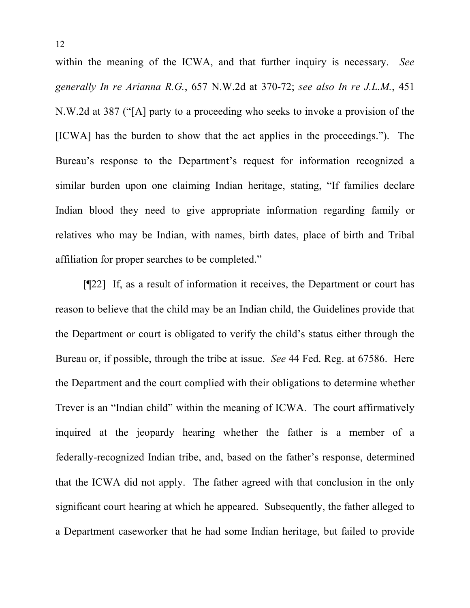within the meaning of the ICWA, and that further inquiry is necessary. *See generally In re Arianna R.G.*, 657 N.W.2d at 370-72; *see also In re J.L.M.*, 451 N.W.2d at 387 ("[A] party to a proceeding who seeks to invoke a provision of the [ICWA] has the burden to show that the act applies in the proceedings."). The Bureau's response to the Department's request for information recognized a similar burden upon one claiming Indian heritage, stating, "If families declare Indian blood they need to give appropriate information regarding family or relatives who may be Indian, with names, birth dates, place of birth and Tribal affiliation for proper searches to be completed."

[¶22] If, as a result of information it receives, the Department or court has reason to believe that the child may be an Indian child, the Guidelines provide that the Department or court is obligated to verify the child's status either through the Bureau or, if possible, through the tribe at issue. *See* 44 Fed. Reg. at 67586. Here the Department and the court complied with their obligations to determine whether Trever is an "Indian child" within the meaning of ICWA. The court affirmatively inquired at the jeopardy hearing whether the father is a member of a federally-recognized Indian tribe, and, based on the father's response, determined that the ICWA did not apply. The father agreed with that conclusion in the only significant court hearing at which he appeared. Subsequently, the father alleged to a Department caseworker that he had some Indian heritage, but failed to provide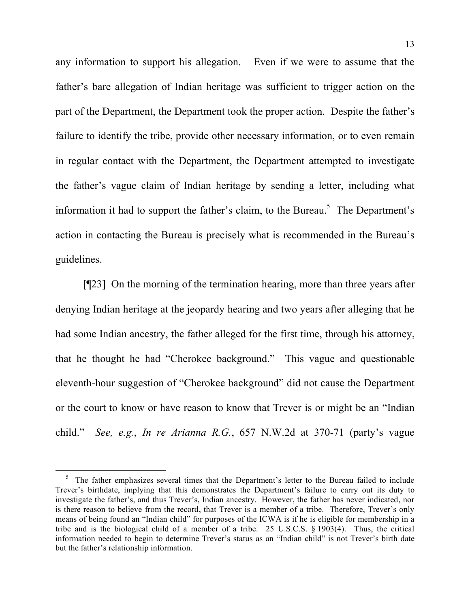any information to support his allegation. Even if we were to assume that the father's bare allegation of Indian heritage was sufficient to trigger action on the part of the Department, the Department took the proper action. Despite the father's failure to identify the tribe, provide other necessary information, or to even remain in regular contact with the Department, the Department attempted to investigate the father's vague claim of Indian heritage by sending a letter, including what information it had to support the father's claim, to the Bureau.<sup>5</sup> The Department's action in contacting the Bureau is precisely what is recommended in the Bureau's guidelines.

[¶23] On the morning of the termination hearing, more than three years after denying Indian heritage at the jeopardy hearing and two years after alleging that he had some Indian ancestry, the father alleged for the first time, through his attorney, that he thought he had "Cherokee background." This vague and questionable eleventh-hour suggestion of "Cherokee background" did not cause the Department or the court to know or have reason to know that Trever is or might be an "Indian child." *See, e.g.*, *In re Arianna R.G.*, 657 N.W.2d at 370-71 (party's vague

 $rac{1}{5}$  $5$  The father emphasizes several times that the Department's letter to the Bureau failed to include Trever's birthdate, implying that this demonstrates the Department's failure to carry out its duty to investigate the father's, and thus Trever's, Indian ancestry. However, the father has never indicated, nor is there reason to believe from the record, that Trever is a member of a tribe. Therefore, Trever's only means of being found an "Indian child" for purposes of the ICWA is if he is eligible for membership in a tribe and is the biological child of a member of a tribe. 25 U.S.C.S. § 1903(4). Thus, the critical information needed to begin to determine Trever's status as an "Indian child" is not Trever's birth date but the father's relationship information.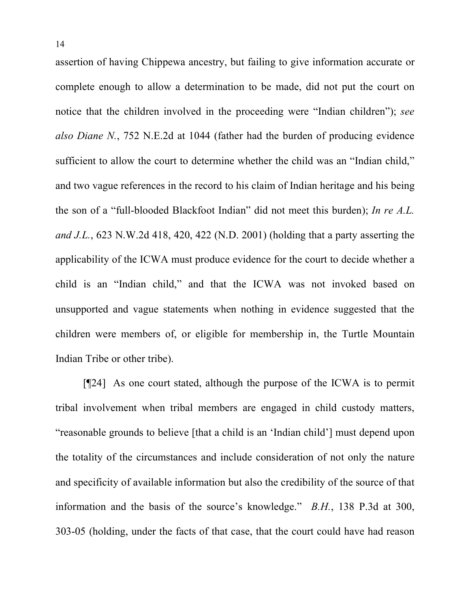assertion of having Chippewa ancestry, but failing to give information accurate or complete enough to allow a determination to be made, did not put the court on notice that the children involved in the proceeding were "Indian children"); *see also Diane N.*, 752 N.E.2d at 1044 (father had the burden of producing evidence sufficient to allow the court to determine whether the child was an "Indian child," and two vague references in the record to his claim of Indian heritage and his being the son of a "full-blooded Blackfoot Indian" did not meet this burden); *In re A.L. and J.L.*, 623 N.W.2d 418, 420, 422 (N.D. 2001) (holding that a party asserting the applicability of the ICWA must produce evidence for the court to decide whether a child is an "Indian child," and that the ICWA was not invoked based on unsupported and vague statements when nothing in evidence suggested that the children were members of, or eligible for membership in, the Turtle Mountain Indian Tribe or other tribe).

[¶24] As one court stated, although the purpose of the ICWA is to permit tribal involvement when tribal members are engaged in child custody matters, "reasonable grounds to believe [that a child is an 'Indian child'] must depend upon the totality of the circumstances and include consideration of not only the nature and specificity of available information but also the credibility of the source of that information and the basis of the source's knowledge." *B.H.*, 138 P.3d at 300, 303-05 (holding, under the facts of that case, that the court could have had reason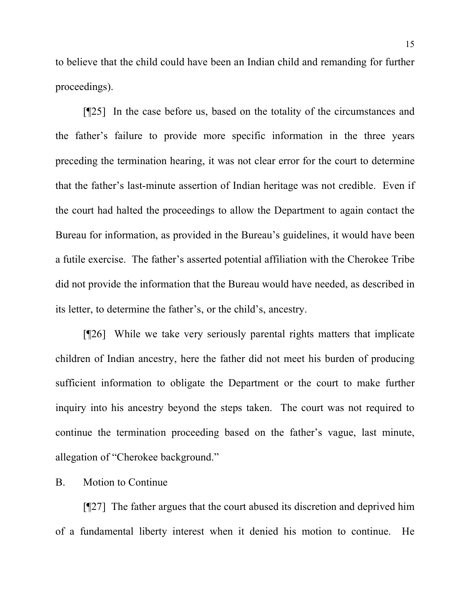to believe that the child could have been an Indian child and remanding for further proceedings).

[¶25] In the case before us, based on the totality of the circumstances and the father's failure to provide more specific information in the three years preceding the termination hearing, it was not clear error for the court to determine that the father's last-minute assertion of Indian heritage was not credible. Even if the court had halted the proceedings to allow the Department to again contact the Bureau for information, as provided in the Bureau's guidelines, it would have been a futile exercise. The father's asserted potential affiliation with the Cherokee Tribe did not provide the information that the Bureau would have needed, as described in its letter, to determine the father's, or the child's, ancestry.

[¶26] While we take very seriously parental rights matters that implicate children of Indian ancestry, here the father did not meet his burden of producing sufficient information to obligate the Department or the court to make further inquiry into his ancestry beyond the steps taken. The court was not required to continue the termination proceeding based on the father's vague, last minute, allegation of "Cherokee background."

B. Motion to Continue

[¶27] The father argues that the court abused its discretion and deprived him of a fundamental liberty interest when it denied his motion to continue. He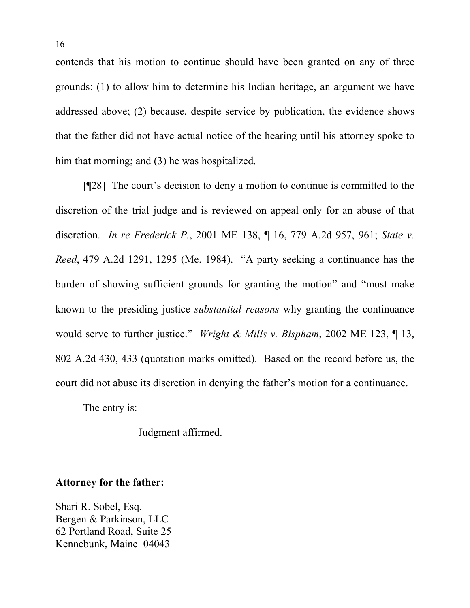contends that his motion to continue should have been granted on any of three grounds: (1) to allow him to determine his Indian heritage, an argument we have addressed above; (2) because, despite service by publication, the evidence shows that the father did not have actual notice of the hearing until his attorney spoke to him that morning; and (3) he was hospitalized.

[¶28] The court's decision to deny a motion to continue is committed to the discretion of the trial judge and is reviewed on appeal only for an abuse of that discretion. *In re Frederick P.*, 2001 ME 138, ¶ 16, 779 A.2d 957, 961; *State v. Reed*, 479 A.2d 1291, 1295 (Me. 1984). "A party seeking a continuance has the burden of showing sufficient grounds for granting the motion" and "must make known to the presiding justice *substantial reasons* why granting the continuance would serve to further justice." *Wright & Mills v. Bispham*, 2002 ME 123, ¶ 13, 802 A.2d 430, 433 (quotation marks omitted). Based on the record before us, the court did not abuse its discretion in denying the father's motion for a continuance.

The entry is:

Judgment affirmed.

## **Attorney for the father:**

Shari R. Sobel, Esq. Bergen & Parkinson, LLC 62 Portland Road, Suite 25 Kennebunk, Maine 04043